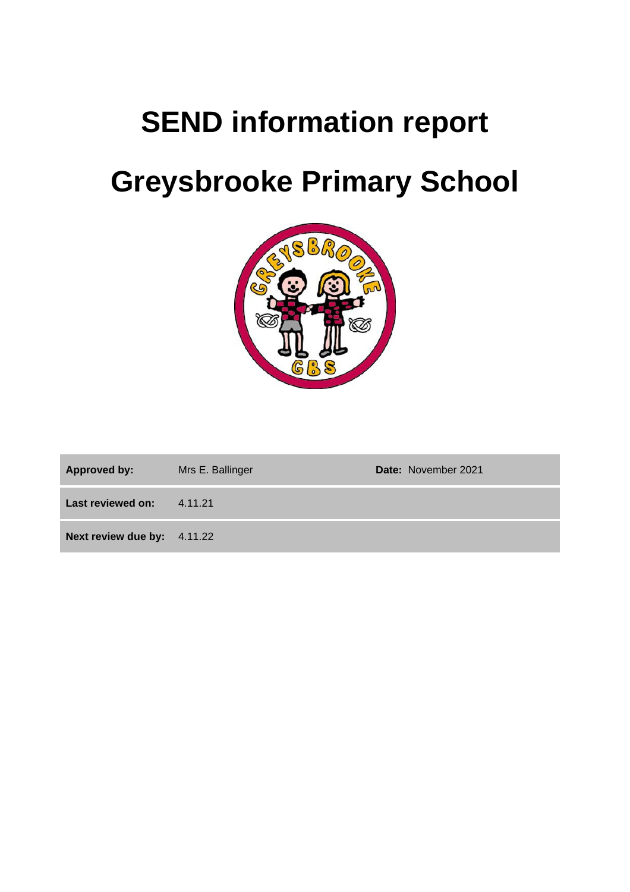# **SEND information report**

# **Greysbrooke Primary School**



| Approved by:                | Mrs E. Ballinger | <b>Date: November 2021</b> |
|-----------------------------|------------------|----------------------------|
| Last reviewed on:           | 4.11.21          |                            |
| Next review due by: 4.11.22 |                  |                            |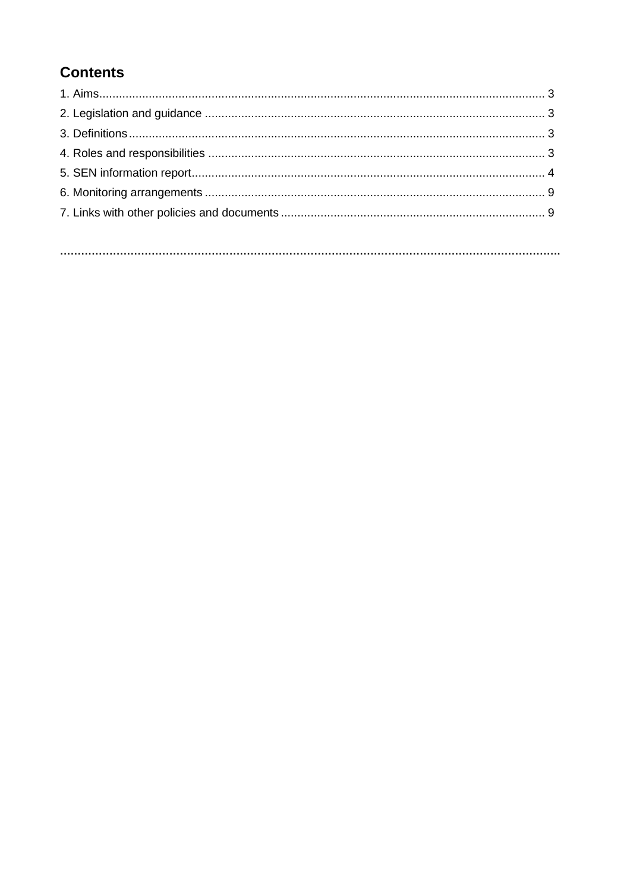# **Contents**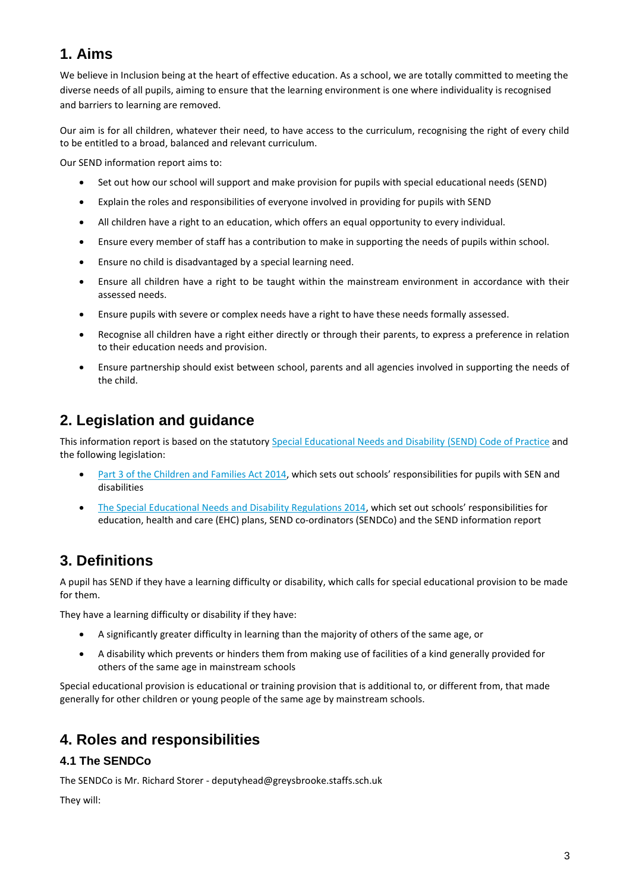## **1. Aims**

We believe in Inclusion being at the heart of effective education. As a school, we are totally committed to meeting the diverse needs of all pupils, aiming to ensure that the learning environment is one where individuality is recognised and barriers to learning are removed.

Our aim is for all children, whatever their need, to have access to the curriculum, recognising the right of every child to be entitled to a broad, balanced and relevant curriculum.

Our SEND information report aims to:

- Set out how our school will support and make provision for pupils with special educational needs (SEND)
- Explain the roles and responsibilities of everyone involved in providing for pupils with SEND
- All children have a right to an education, which offers an equal opportunity to every individual.
- Ensure every member of staff has a contribution to make in supporting the needs of pupils within school.
- Ensure no child is disadvantaged by a special learning need.
- Ensure all children have a right to be taught within the mainstream environment in accordance with their assessed needs.
- Ensure pupils with severe or complex needs have a right to have these needs formally assessed.
- Recognise all children have a right either directly or through their parents, to express a preference in relation to their education needs and provision.
- Ensure partnership should exist between school, parents and all agencies involved in supporting the needs of the child.

## **2. Legislation and guidance**

This information report is based on the statutory [Special Educational Needs and Disability](https://www.gov.uk/government/uploads/system/uploads/attachment_data/file/398815/SEND_Code_of_Practice_January_2015.pdf) (SEND) Code of Practice and the following legislation:

- [Part 3 of the Children and Families Act 2014](http://www.legislation.gov.uk/ukpga/2014/6/part/3), which sets out schools' responsibilities for pupils with SEN and disabilities
- [The Special Educational Needs and Disability Regulations 2014,](http://www.legislation.gov.uk/uksi/2014/1530/contents/made) which set out schools' responsibilities for education, health and care (EHC) plans, SEND co-ordinators (SENDCo) and the SEND information report

## **3. Definitions**

A pupil has SEND if they have a learning difficulty or disability, which calls for special educational provision to be made for them.

They have a learning difficulty or disability if they have:

- A significantly greater difficulty in learning than the majority of others of the same age, or
- A disability which prevents or hinders them from making use of facilities of a kind generally provided for others of the same age in mainstream schools

Special educational provision is educational or training provision that is additional to, or different from, that made generally for other children or young people of the same age by mainstream schools.

## **4. Roles and responsibilities**

#### **4.1 The SENDCo**

The SENDCo is Mr. Richard Storer - deputyhead@greysbrooke.staffs.sch.uk

They will: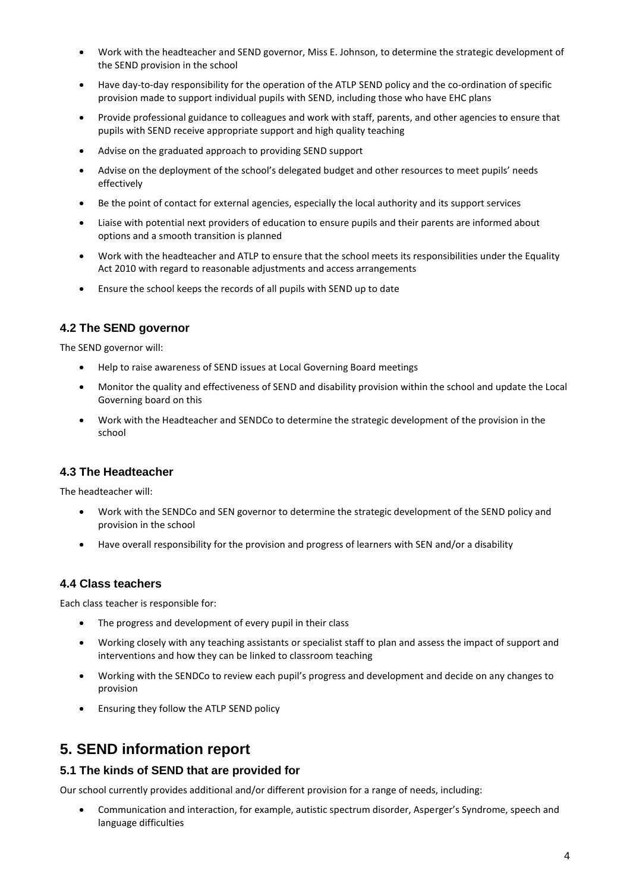- Work with the headteacher and SEND governor, Miss E. Johnson, to determine the strategic development of the SEND provision in the school
- Have day-to-day responsibility for the operation of the ATLP SEND policy and the co-ordination of specific provision made to support individual pupils with SEND, including those who have EHC plans
- Provide professional guidance to colleagues and work with staff, parents, and other agencies to ensure that pupils with SEND receive appropriate support and high quality teaching
- Advise on the graduated approach to providing SEND support
- Advise on the deployment of the school's delegated budget and other resources to meet pupils' needs effectively
- Be the point of contact for external agencies, especially the local authority and its support services
- Liaise with potential next providers of education to ensure pupils and their parents are informed about options and a smooth transition is planned
- Work with the headteacher and ATLP to ensure that the school meets its responsibilities under the Equality Act 2010 with regard to reasonable adjustments and access arrangements
- Ensure the school keeps the records of all pupils with SEND up to date

#### **4.2 The SEND governor**

The SEND governor will:

- Help to raise awareness of SEND issues at Local Governing Board meetings
- Monitor the quality and effectiveness of SEND and disability provision within the school and update the Local Governing board on this
- Work with the Headteacher and SENDCo to determine the strategic development of the provision in the school

#### **4.3 The Headteacher**

The headteacher will:

- Work with the SENDCo and SEN governor to determine the strategic development of the SEND policy and provision in the school
- Have overall responsibility for the provision and progress of learners with SEN and/or a disability

#### **4.4 Class teachers**

Each class teacher is responsible for:

- The progress and development of every pupil in their class
- Working closely with any teaching assistants or specialist staff to plan and assess the impact of support and interventions and how they can be linked to classroom teaching
- Working with the SENDCo to review each pupil's progress and development and decide on any changes to provision
- Ensuring they follow the ATLP SEND policy

### **5. SEND information report**

#### **5.1 The kinds of SEND that are provided for**

Our school currently provides additional and/or different provision for a range of needs, including:

• Communication and interaction, for example, autistic spectrum disorder, Asperger's Syndrome, speech and language difficulties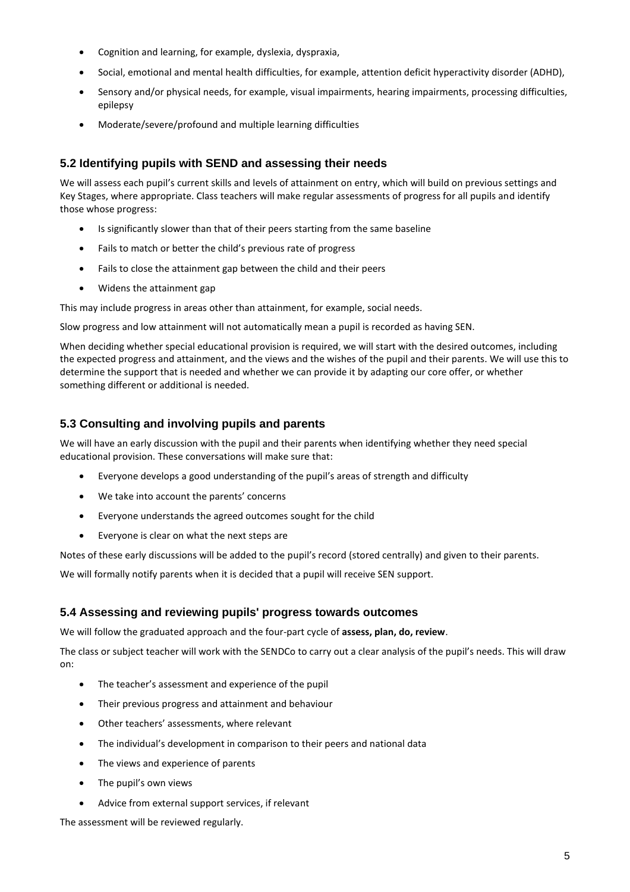- Cognition and learning, for example, dyslexia, dyspraxia,
- Social, emotional and mental health difficulties, for example, attention deficit hyperactivity disorder (ADHD),
- Sensory and/or physical needs, for example, visual impairments, hearing impairments, processing difficulties, epilepsy
- Moderate/severe/profound and multiple learning difficulties

#### **5.2 Identifying pupils with SEND and assessing their needs**

We will assess each pupil's current skills and levels of attainment on entry, which will build on previous settings and Key Stages, where appropriate. Class teachers will make regular assessments of progress for all pupils and identify those whose progress:

- Is significantly slower than that of their peers starting from the same baseline
- Fails to match or better the child's previous rate of progress
- Fails to close the attainment gap between the child and their peers
- Widens the attainment gap

This may include progress in areas other than attainment, for example, social needs.

Slow progress and low attainment will not automatically mean a pupil is recorded as having SEN.

When deciding whether special educational provision is required, we will start with the desired outcomes, including the expected progress and attainment, and the views and the wishes of the pupil and their parents. We will use this to determine the support that is needed and whether we can provide it by adapting our core offer, or whether something different or additional is needed.

#### **5.3 Consulting and involving pupils and parents**

We will have an early discussion with the pupil and their parents when identifying whether they need special educational provision. These conversations will make sure that:

- Everyone develops a good understanding of the pupil's areas of strength and difficulty
- We take into account the parents' concerns
- Everyone understands the agreed outcomes sought for the child
- Everyone is clear on what the next steps are

Notes of these early discussions will be added to the pupil's record (stored centrally) and given to their parents.

We will formally notify parents when it is decided that a pupil will receive SEN support.

#### **5.4 Assessing and reviewing pupils' progress towards outcomes**

We will follow the graduated approach and the four-part cycle of **assess, plan, do, review**.

The class or subject teacher will work with the SENDCo to carry out a clear analysis of the pupil's needs. This will draw on:

- The teacher's assessment and experience of the pupil
- Their previous progress and attainment and behaviour
- Other teachers' assessments, where relevant
- The individual's development in comparison to their peers and national data
- The views and experience of parents
- The pupil's own views
- Advice from external support services, if relevant

The assessment will be reviewed regularly.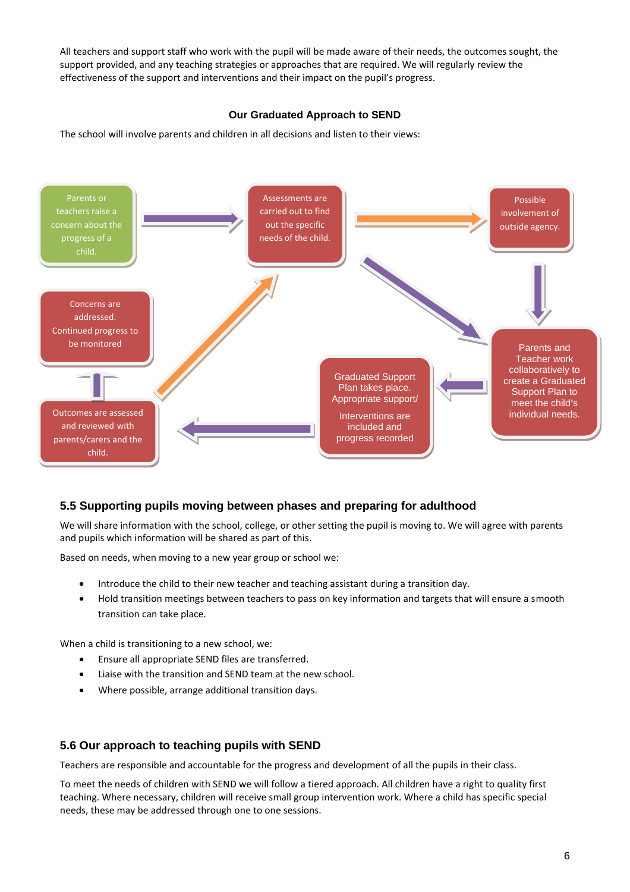All teachers and support staff who work with the pupil will be made aware of their needs, the outcomes sought, the support provided, and any teaching strategies or approaches that are required. We will regularly review the effectiveness of the support and interventions and their impact on the pupil's progress.

#### **Our Graduated Approach to SEND**

The school will involve parents and children in all decisions and listen to their views:



#### **5.5 Supporting pupils moving between phases and preparing for adulthood**

We will share information with the school, college, or other setting the pupil is moving to. We will agree with parents and pupils which information will be shared as part of this.

Based on needs, when moving to a new year group or school we:

- Introduce the child to their new teacher and teaching assistant during a transition day.
- Hold transition meetings between teachers to pass on key information and targets that will ensure a smooth transition can take place.

When a child is transitioning to a new school, we:

- Ensure all appropriate SEND files are transferred.
- Liaise with the transition and SEND team at the new school.
- Where possible, arrange additional transition days.

#### **5.6 Our approach to teaching pupils with SEND**

Teachers are responsible and accountable for the progress and development of all the pupils in their class.

To meet the needs of children with SEND we will follow a tiered approach. All children have a right to quality first teaching. Where necessary, children will receive small group intervention work. Where a child has specific special needs, these may be addressed through one to one sessions.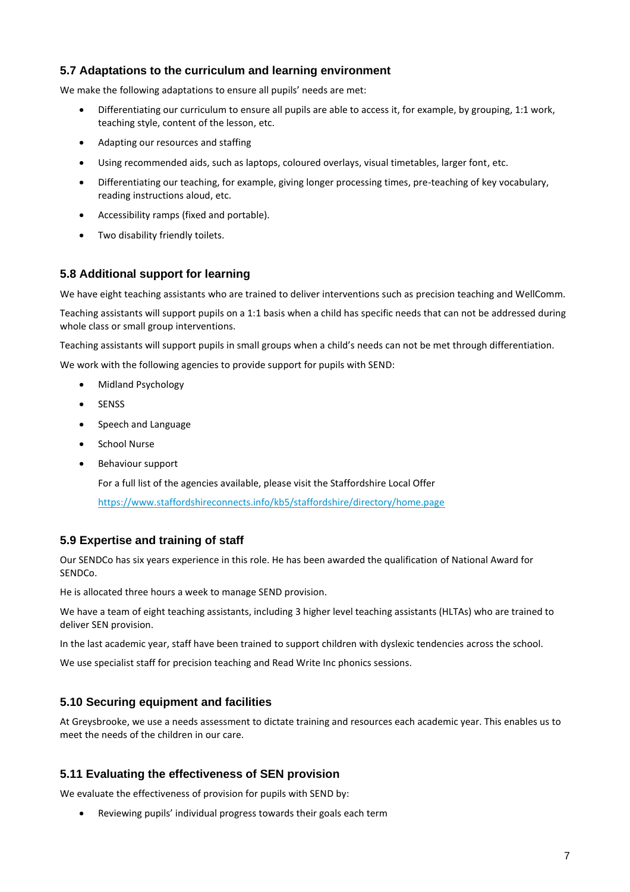#### **5.7 Adaptations to the curriculum and learning environment**

We make the following adaptations to ensure all pupils' needs are met:

- Differentiating our curriculum to ensure all pupils are able to access it, for example, by grouping, 1:1 work, teaching style, content of the lesson, etc.
- Adapting our resources and staffing
- Using recommended aids, such as laptops, coloured overlays, visual timetables, larger font, etc.
- Differentiating our teaching, for example, giving longer processing times, pre-teaching of key vocabulary, reading instructions aloud, etc.
- Accessibility ramps (fixed and portable).
- Two disability friendly toilets.

#### **5.8 Additional support for learning**

We have eight teaching assistants who are trained to deliver interventions such as precision teaching and WellComm.

Teaching assistants will support pupils on a 1:1 basis when a child has specific needs that can not be addressed during whole class or small group interventions.

Teaching assistants will support pupils in small groups when a child's needs can not be met through differentiation.

We work with the following agencies to provide support for pupils with SEND:

- Midland Psychology
- **SENSS**
- Speech and Language
- School Nurse
- Behaviour support

For a full list of the agencies available, please visit the Staffordshire Local Offer

<https://www.staffordshireconnects.info/kb5/staffordshire/directory/home.page>

#### **5.9 Expertise and training of staff**

Our SENDCo has six years experience in this role. He has been awarded the qualification of National Award for SENDCo.

He is allocated three hours a week to manage SEND provision.

We have a team of eight teaching assistants, including 3 higher level teaching assistants (HLTAs) who are trained to deliver SEN provision.

In the last academic year, staff have been trained to support children with dyslexic tendencies across the school.

We use specialist staff for precision teaching and Read Write Inc phonics sessions.

#### **5.10 Securing equipment and facilities**

At Greysbrooke, we use a needs assessment to dictate training and resources each academic year. This enables us to meet the needs of the children in our care.

#### **5.11 Evaluating the effectiveness of SEN provision**

We evaluate the effectiveness of provision for pupils with SEND by:

• Reviewing pupils' individual progress towards their goals each term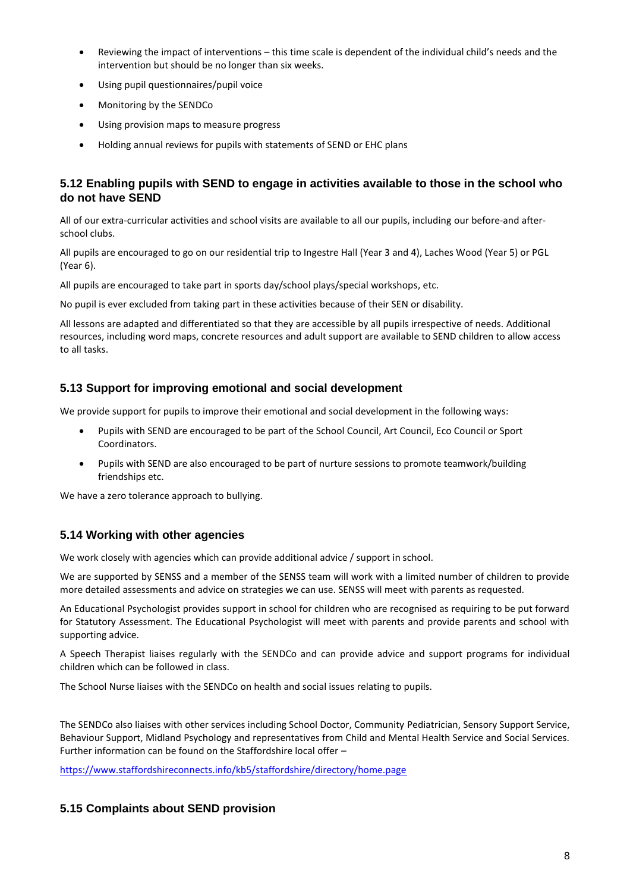- Reviewing the impact of interventions this time scale is dependent of the individual child's needs and the intervention but should be no longer than six weeks.
- Using pupil questionnaires/pupil voice
- Monitoring by the SENDCo
- Using provision maps to measure progress
- Holding annual reviews for pupils with statements of SEND or EHC plans

#### **5.12 Enabling pupils with SEND to engage in activities available to those in the school who do not have SEND**

All of our extra-curricular activities and school visits are available to all our pupils, including our before-and afterschool clubs.

All pupils are encouraged to go on our residential trip to Ingestre Hall (Year 3 and 4), Laches Wood (Year 5) or PGL (Year 6).

All pupils are encouraged to take part in sports day/school plays/special workshops, etc.

No pupil is ever excluded from taking part in these activities because of their SEN or disability.

All lessons are adapted and differentiated so that they are accessible by all pupils irrespective of needs. Additional resources, including word maps, concrete resources and adult support are available to SEND children to allow access to all tasks.

#### **5.13 Support for improving emotional and social development**

We provide support for pupils to improve their emotional and social development in the following ways:

- Pupils with SEND are encouraged to be part of the School Council, Art Council, Eco Council or Sport Coordinators.
- Pupils with SEND are also encouraged to be part of nurture sessions to promote teamwork/building friendships etc.

We have a zero tolerance approach to bullying.

#### **5.14 Working with other agencies**

We work closely with agencies which can provide additional advice / support in school.

We are supported by SENSS and a member of the SENSS team will work with a limited number of children to provide more detailed assessments and advice on strategies we can use. SENSS will meet with parents as requested.

An Educational Psychologist provides support in school for children who are recognised as requiring to be put forward for Statutory Assessment. The Educational Psychologist will meet with parents and provide parents and school with supporting advice.

A Speech Therapist liaises regularly with the SENDCo and can provide advice and support programs for individual children which can be followed in class.

The School Nurse liaises with the SENDCo on health and social issues relating to pupils.

The SENDCo also liaises with other services including School Doctor, Community Pediatrician, Sensory Support Service, Behaviour Support, Midland Psychology and representatives from Child and Mental Health Service and Social Services. Further information can be found on the Staffordshire local offer –

<https://www.staffordshireconnects.info/kb5/staffordshire/directory/home.page>

#### **5.15 Complaints about SEND provision**